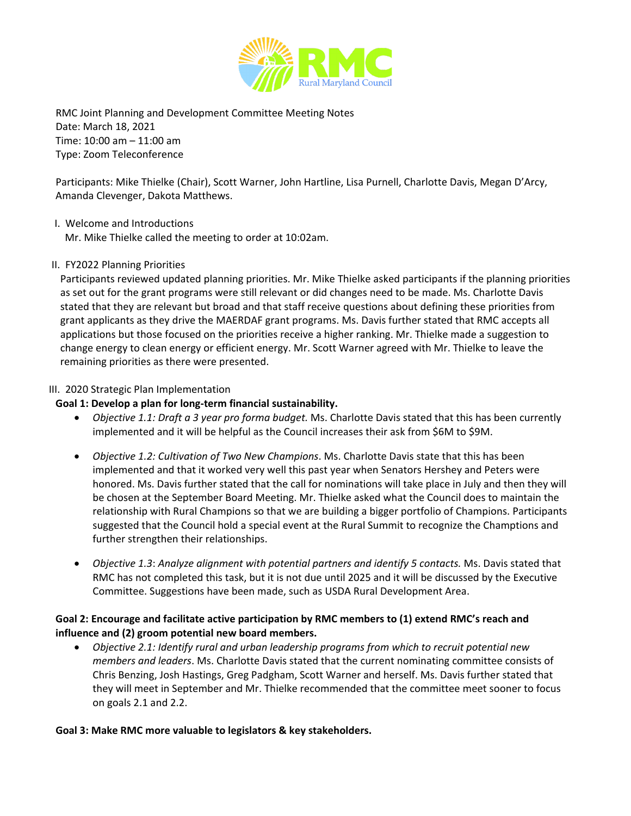

RMC Joint Planning and Development Committee Meeting Notes Date: March 18, 2021 Time: 10:00 am – 11:00 am Type: Zoom Teleconference

Participants: Mike Thielke (Chair), Scott Warner, John Hartline, Lisa Purnell, Charlotte Davis, Megan D'Arcy, Amanda Clevenger, Dakota Matthews.

### I. Welcome and Introductions

Mr. Mike Thielke called the meeting to order at 10:02am.

### II. FY2022 Planning Priorities

Participants reviewed updated planning priorities. Mr. Mike Thielke asked participants if the planning priorities as set out for the grant programs were still relevant or did changes need to be made. Ms. Charlotte Davis stated that they are relevant but broad and that staff receive questions about defining these priorities from grant applicants as they drive the MAERDAF grant programs. Ms. Davis further stated that RMC accepts all applications but those focused on the priorities receive a higher ranking. Mr. Thielke made a suggestion to change energy to clean energy or efficient energy. Mr. Scott Warner agreed with Mr. Thielke to leave the remaining priorities as there were presented.

### III. 2020 Strategic Plan Implementation

### **Goal 1: Develop a plan for long-term financial sustainability.**

- *Objective 1.1: Draft a 3 year pro forma budget.* Ms. Charlotte Davis stated that this has been currently implemented and it will be helpful as the Council increases their ask from \$6M to \$9M.
- *Objective 1.2: Cultivation of Two New Champions*. Ms. Charlotte Davis state that this has been implemented and that it worked very well this past year when Senators Hershey and Peters were honored. Ms. Davis further stated that the call for nominations will take place in July and then they will be chosen at the September Board Meeting. Mr. Thielke asked what the Council does to maintain the relationship with Rural Champions so that we are building a bigger portfolio of Champions. Participants suggested that the Council hold a special event at the Rural Summit to recognize the Champtions and further strengthen their relationships.
- *Objective 1.3*: *Analyze alignment with potential partners and identify 5 contacts.* Ms. Davis stated that RMC has not completed this task, but it is not due until 2025 and it will be discussed by the Executive Committee. Suggestions have been made, such as USDA Rural Development Area.

# **Goal 2: Encourage and facilitate active participation by RMC members to (1) extend RMC's reach and influence and (2) groom potential new board members.**

• *Objective 2.1: Identify rural and urban leadership programs from which to recruit potential new members and leaders*. Ms. Charlotte Davis stated that the current nominating committee consists of Chris Benzing, Josh Hastings, Greg Padgham, Scott Warner and herself. Ms. Davis further stated that they will meet in September and Mr. Thielke recommended that the committee meet sooner to focus on goals 2.1 and 2.2.

### **Goal 3: Make RMC more valuable to legislators & key stakeholders.**